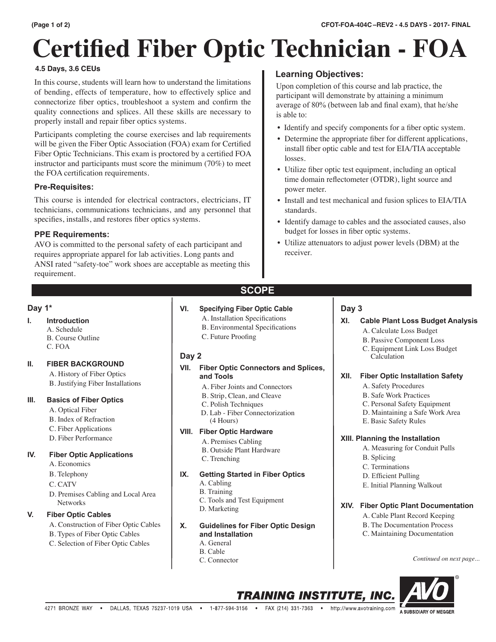# **Certified Fiber Optic Technician - FOA**

### **4.5 Days, 3.6 CEUs**

In this course, students will learn how to understand the limitations of bending, effects of temperature, how to effectively splice and connectorize fiber optics, troubleshoot a system and confirm the quality connections and splices. All these skills are necessary to properly install and repair fiber optics systems.

Participants completing the course exercises and lab requirements will be given the Fiber Optic Association (FOA) exam for Certified Fiber Optic Technicians. This exam is proctored by a certified FOA instructor and participants must score the minimum (70%) to meet the FOA certification requirements.

# **Pre-Requisites:**

This course is intended for electrical contractors, electricians, IT technicians, communications technicians, and any personnel that specifies, installs, and restores fiber optics systems.

# **PPE Requirements:**

AVO is committed to the personal safety of each participant and requires appropriate apparel for lab activities. Long pants and ANSI rated "safety-toe" work shoes are acceptable as meeting this requirement.

# **Learning Objectives:**

Upon completion of this course and lab practice, the participant will demonstrate by attaining a minimum average of 80% (between lab and final exam), that he/she is able to:

- Identify and specify components for a fiber optic system.
- Determine the appropriate fiber for different applications, install fiber optic cable and test for EIA/TIA acceptable losses.
- Utilize fiber optic test equipment, including an optical time domain reflectometer (OTDR), light source and power meter.
- Install and test mechanical and fusion splices to EIA/TIA standards.
- Identify damage to cables and the associated causes, also budget for losses in fiber optic systems.
- Utilize attenuators to adjust power levels (DBM) at the receiver.

# **Day 1\***

# **I. Introduction**

A. Schedule B. Course Outline C. FOA

### **II. FIBER BACKGROUND**

- A. History of Fiber Optics
- B. Justifying Fiber Installations

### **III. Basics of Fiber Optics**

- A. Optical Fiber
- B. Index of Refraction
- C. Fiber Applications
- D. Fiber Performance

### **IV. Fiber Optic Applications**

- A. Economics
- B. Telephony
- C. CATV
- D. Premises Cabling and Local Area Networks

# **V. Fiber Optic Cables**

- A. Construction of Fiber Optic Cables
- B. Types of Fiber Optic Cables
- C. Selection of Fiber Optic Cables

# **SCOPE**

# **VI. Specifying Fiber Optic Cable**

- A. Installation Specifications
- B. Environmental Specifications
- C. Future Proofing

# **Day 2**

#### **VII. Fiber Optic Connectors and Splices, and Tools**

- A. Fiber Joints and Connectors
- B. Strip, Clean, and Cleave
- C. Polish Techniques
- D. Lab Fiber Connectorization (4 Hours)

### **VIII. Fiber Optic Hardware**

- A. Premises Cabling
- B. Outside Plant Hardware
- C. Trenching

### **IX. Getting Started in Fiber Optics**

- A. Cabling
- B. Training
- C. Tools and Test Equipment
- D. Marketing
- **X. Guidelines for Fiber Optic Design and Installation**
	- A. General
	- B. Cable
	- C. Connector

# **Day 3**

# **XI. Cable Plant Loss Budget Analysis**

- A. Calculate Loss Budget
- B. Passive Component Loss
- C. Equipment Link Loss Budget Calculation

### **XII. Fiber Optic Installation Safety**

- A. Safety Procedures
- B. Safe Work Practices
- C. Personal Safety Equipment
- D. Maintaining a Safe Work Area
- E. Basic Safety Rules

### **XIII. Planning the Installation**

- A. Measuring for Conduit Pulls
- B. Splicing
- C. Terminations
- D. Efficient Pulling
- E. Initial Planning Walkout

### **XIV. Fiber Optic Plant Documentation**

- A. Cable Plant Record Keeping
- B. The Documentation Process
- C. Maintaining Documentation

*Continued on next page...*





**TRAINING INSTITUTE, INC.**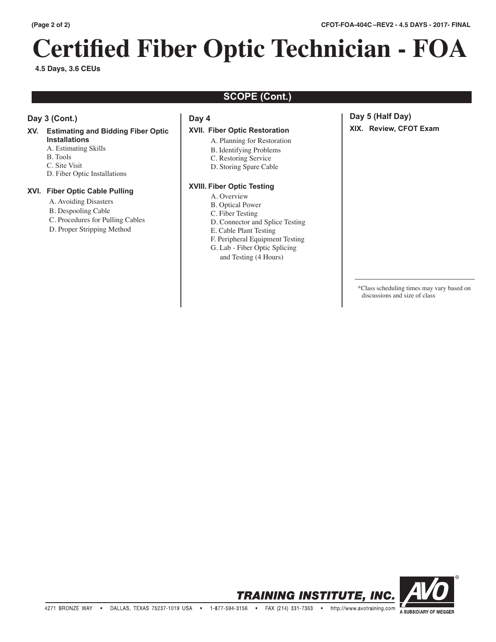# **Certified Fiber Optic Technician - FOA**

**4.5 Days, 3.6 CEUs**

# **SCOPE (Cont.)**

# **Day 3 (Cont.)**

# **XV. Estimating and Bidding Fiber Optic Installations**

- A. Estimating Skills
- B. Tools
- C. Site Visit
- D. Fiber Optic Installations

### **XVI. Fiber Optic Cable Pulling**

- A. Avoiding Disasters
- B. Despooling Cable
- C. Procedures for Pulling Cables
- D. Proper Stripping Method

### **Day 4**

### **XVII. Fiber Optic Restoration**

- A. Planning for Restoration
	- B. Identifying Problems
	- C. Restoring Service
	- D. Storing Spare Cable

#### **XVIII. Fiber Optic Testing**

- A. Overview
- B. Optical Power
- C. Fiber Testing
- D. Connector and Splice Testing
- E. Cable Plant Testing
- F. Peripheral Equipment Testing G. Lab - Fiber Optic Splicing
- and Testing (4 Hours)

# **Day 5 (Half Day) XIX. Review, CFOT Exam**

 \*Class scheduling times may vary based on discussions and size of class

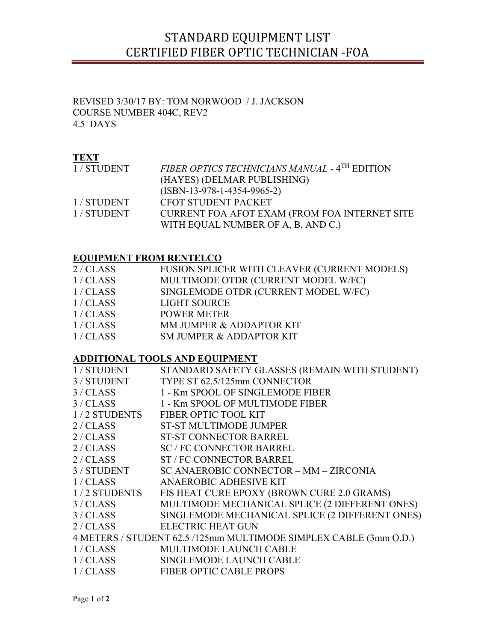# STANDARD EQUIPMENT LIST CERTIFIED FIBER OPTIC TECHNICIAN -FOA

# REVISED 3/30/17 BY: TOM NORWOOD / J. JACKSON COURSE NUMBER 404C, REV2 4.5 DAYS

# **TEXT**

| 1/STUDENT | FIBER OPTICS TECHNICIANS MANUAL - 4TH EDITION |
|-----------|-----------------------------------------------|
|           | (HAYES) (DELMAR PUBLISHING)                   |
|           | $(ISBN-13-978-1-4354-9965-2)$                 |
| 1/STUDENT | CFOT STUDENT PACKET                           |
| 1/STUDENT | CURRENT FOA AFOT EXAM (FROM FOA INTERNET SITE |
|           | WITH EQUAL NUMBER OF A, B, AND C.)            |

# EQUIPMENT FROM RENTELCO

| 2/CLAS | FUSION SPLICER WITH CLEAVER (CURRENT MODELS) |
|--------|----------------------------------------------|
| 1/CLAS | MULTIMODE OTDR (CURRENT MODEL W/FC)          |
| 1/CLAS | SINGLEMODE OTDR (CURRENT MODEL W/FC)         |
| 1/CLAS | LIGHT SOURCE                                 |
| 1/CLAS | <b>POWER METER</b>                           |
| 1/CLAS | MM JUMPER & ADDAPTOR KIT                     |
| 1/CLAS | SM JUMPER & ADDAPTOR KIT                     |

# ADDITIONAL TOOLS AND EQUIPMENT

| TYPE ST 62.5/125mm CONNECTOR<br>3 / STUDENT<br>3 / CLASS<br>1 - Km SPOOL OF SINGLEMODE FIBER<br>3/CLASS<br>1 - Km SPOOL OF MULTIMODE FIBER<br>1/2 STUDENTS<br>FIBER OPTIC TOOL KIT<br>2/CLAS<br><b>ST-ST MULTIMODE JUMPER</b><br>2/CLAS<br><b>ST-ST CONNECTOR BARREL</b><br>2/CLAS<br><b>SC / FC CONNECTOR BARREL</b><br>2 / CLASS<br><b>ST / FC CONNECTOR BARREL</b><br>3 / STUDENT<br>SC ANAEROBIC CONNECTOR - MM - ZIRCONIA<br>1/CLASS<br>ANAEROBIC ADHESIVE KIT<br>1/2 STUDENTS FISHEAT CURE EPOXY (BROWN CURE 2.0 GRAMS) |
|-------------------------------------------------------------------------------------------------------------------------------------------------------------------------------------------------------------------------------------------------------------------------------------------------------------------------------------------------------------------------------------------------------------------------------------------------------------------------------------------------------------------------------|
|                                                                                                                                                                                                                                                                                                                                                                                                                                                                                                                               |
|                                                                                                                                                                                                                                                                                                                                                                                                                                                                                                                               |
|                                                                                                                                                                                                                                                                                                                                                                                                                                                                                                                               |
|                                                                                                                                                                                                                                                                                                                                                                                                                                                                                                                               |
|                                                                                                                                                                                                                                                                                                                                                                                                                                                                                                                               |
|                                                                                                                                                                                                                                                                                                                                                                                                                                                                                                                               |
|                                                                                                                                                                                                                                                                                                                                                                                                                                                                                                                               |
|                                                                                                                                                                                                                                                                                                                                                                                                                                                                                                                               |
|                                                                                                                                                                                                                                                                                                                                                                                                                                                                                                                               |
|                                                                                                                                                                                                                                                                                                                                                                                                                                                                                                                               |
|                                                                                                                                                                                                                                                                                                                                                                                                                                                                                                                               |
| MULTIMODE MECHANICAL SPLICE (2 DIFFERENT ONES)<br>3/CLASS                                                                                                                                                                                                                                                                                                                                                                                                                                                                     |
| SINGLEMODE MECHANICAL SPLICE (2 DIFFERENT ONES)<br>3/CLASS                                                                                                                                                                                                                                                                                                                                                                                                                                                                    |
| 2/CLAS<br>ELECTRIC HEAT GUN                                                                                                                                                                                                                                                                                                                                                                                                                                                                                                   |
| 4 METERS / STUDENT 62.5 /125mm MULTIMODE SIMPLEX CABLE (3mm O.D.)                                                                                                                                                                                                                                                                                                                                                                                                                                                             |
| 1/CLAS<br><b>MULTIMODE LAUNCH CABLE</b>                                                                                                                                                                                                                                                                                                                                                                                                                                                                                       |
| 1/CLAS<br>SINGLEMODE LAUNCH CABLE                                                                                                                                                                                                                                                                                                                                                                                                                                                                                             |
| 1/CLAS<br><b>FIBER OPTIC CABLE PROPS</b>                                                                                                                                                                                                                                                                                                                                                                                                                                                                                      |